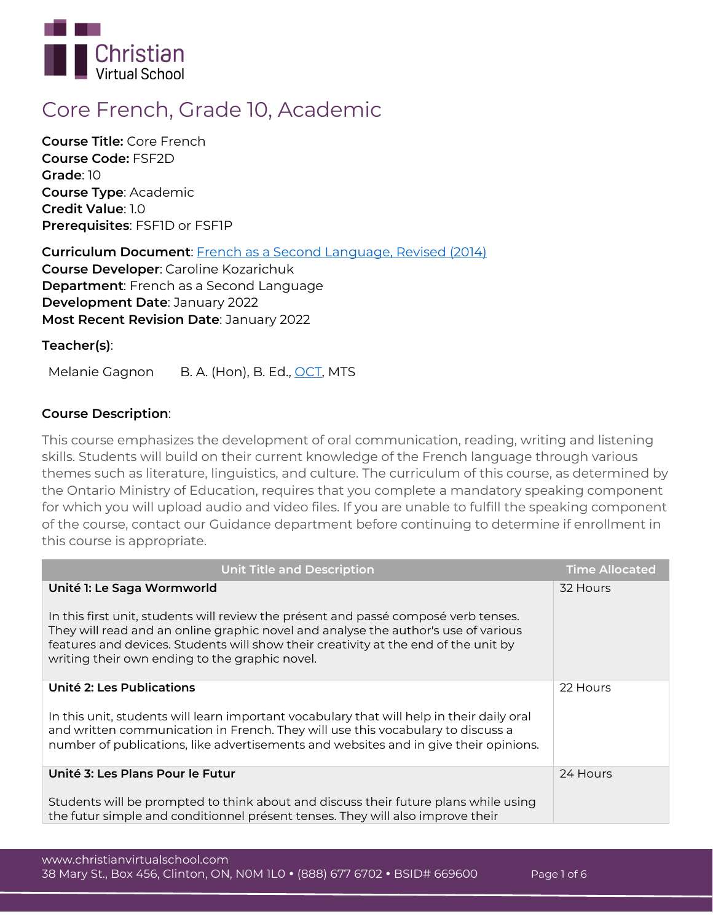

# **Core French, Grade 10, Academic**

**Course Title:** Core French **Course Code:** FSF2D **Grade**: 10 **Course Type**: Academic **Credit Value**: 1.0 **Prerequisites**: FSF1D or FSF1P

**Curriculum Document**: [French as a Second Language, Revised \(2014\)](http://www.edu.gov.on.ca/eng/curriculum/secondary/fsl912curr2014.pdf) **Course Developer**: Caroline Kozarichuk **Department**: French as a Second Language **Development Date**: January 2022 **Most Recent Revision Date**: January 2022

# **Teacher(s)**:

Melanie Gagnon B. A. (Hon), B. Ed., [OCT,](https://apps.oct.ca/FindATeacher/memberdetail?id=501385) MTS

# **Course Description**:

This course emphasizes the development of oral communication, reading, writing and listening skills. Students will build on their current knowledge of the French language through various themes such as literature, linguistics, and culture. The curriculum of this course, as determined by the Ontario Ministry of Education, requires that you complete a mandatory speaking component for which you will upload audio and video files. If you are unable to fulfill the speaking component of the course, contact our Guidance department before continuing to determine if enrollment in this course is appropriate.

| <b>Unit Title and Description</b>                                                                                                                                                                                                                                                                                                                | <b>Time Allocated</b> |
|--------------------------------------------------------------------------------------------------------------------------------------------------------------------------------------------------------------------------------------------------------------------------------------------------------------------------------------------------|-----------------------|
| Unité 1: Le Saga Wormworld<br>In this first unit, students will review the présent and passé composé verb tenses.<br>They will read and an online graphic novel and analyse the author's use of various<br>features and devices. Students will show their creativity at the end of the unit by<br>writing their own ending to the graphic novel. | 32 Hours              |
| Unité 2: Les Publications<br>In this unit, students will learn important vocabulary that will help in their daily oral<br>and written communication in French. They will use this vocabulary to discuss a<br>number of publications, like advertisements and websites and in give their opinions.                                                | 22 Hours              |
| Unité 3: Les Plans Pour le Futur<br>Students will be prompted to think about and discuss their future plans while using<br>the futur simple and conditionnel présent tenses. They will also improve their                                                                                                                                        | 24 Hours              |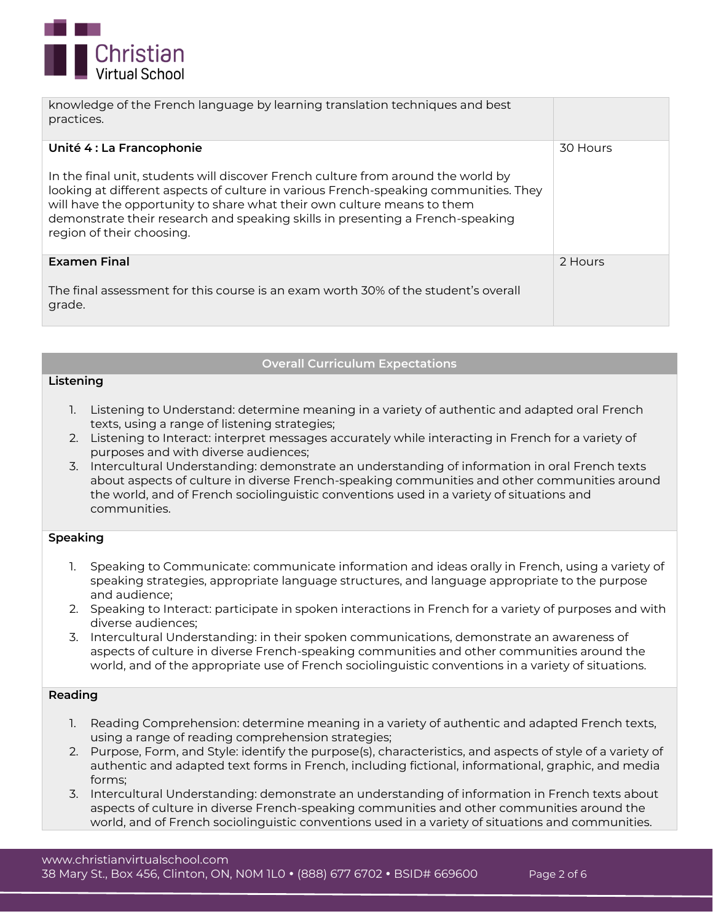

| knowledge of the French language by learning translation techniques and best<br>practices.                                                                                                                                                                                                                                                                                                       |          |
|--------------------------------------------------------------------------------------------------------------------------------------------------------------------------------------------------------------------------------------------------------------------------------------------------------------------------------------------------------------------------------------------------|----------|
| Unité 4 : La Francophonie<br>In the final unit, students will discover French culture from around the world by<br>looking at different aspects of culture in various French-speaking communities. They<br>will have the opportunity to share what their own culture means to them<br>demonstrate their research and speaking skills in presenting a French-speaking<br>region of their choosing. | 30 Hours |
| <b>Examen Final</b><br>The final assessment for this course is an exam worth 30% of the student's overall<br>grade.                                                                                                                                                                                                                                                                              | 2 Hours  |

### **Overall Curriculum Expectations**

### **Listening**

- 1. Listening to Understand: determine meaning in a variety of authentic and adapted oral French texts, using a range of listening strategies;
- 2. Listening to Interact: interpret messages accurately while interacting in French for a variety of purposes and with diverse audiences;
- 3. Intercultural Understanding: demonstrate an understanding of information in oral French texts about aspects of culture in diverse French-speaking communities and other communities around the world, and of French sociolinguistic conventions used in a variety of situations and communities.

### **Speaking**

- 1. Speaking to Communicate: communicate information and ideas orally in French, using a variety of speaking strategies, appropriate language structures, and language appropriate to the purpose and audience;
- 2. Speaking to Interact: participate in spoken interactions in French for a variety of purposes and with diverse audiences;
- 3. Intercultural Understanding: in their spoken communications, demonstrate an awareness of aspects of culture in diverse French-speaking communities and other communities around the world, and of the appropriate use of French sociolinguistic conventions in a variety of situations.

### **Reading**

- 1. Reading Comprehension: determine meaning in a variety of authentic and adapted French texts, using a range of reading comprehension strategies;
- 2. Purpose, Form, and Style: identify the purpose(s), characteristics, and aspects of style of a variety of authentic and adapted text forms in French, including fictional, informational, graphic, and media forms;
- 3. Intercultural Understanding: demonstrate an understanding of information in French texts about aspects of culture in diverse French-speaking communities and other communities around the world, and of French sociolinguistic conventions used in a variety of situations and communities.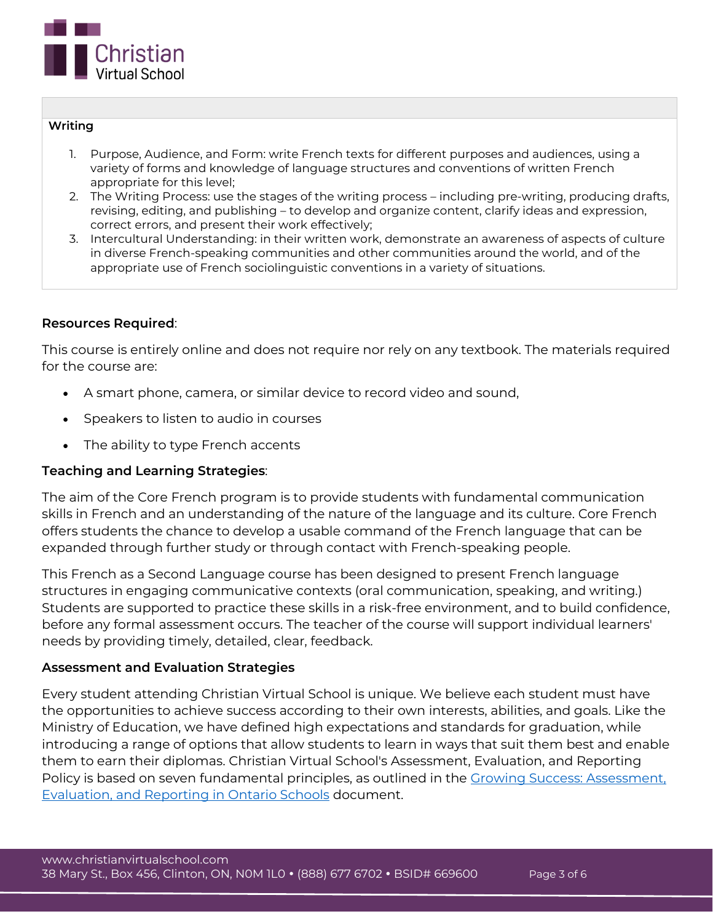

### **Writing**

- 1. Purpose, Audience, and Form: write French texts for different purposes and audiences, using a variety of forms and knowledge of language structures and conventions of written French appropriate for this level;
- 2. The Writing Process: use the stages of the writing process including pre-writing, producing drafts, revising, editing, and publishing – to develop and organize content, clarify ideas and expression, correct errors, and present their work effectively;
- 3. Intercultural Understanding: in their written work, demonstrate an awareness of aspects of culture in diverse French-speaking communities and other communities around the world, and of the appropriate use of French sociolinguistic conventions in a variety of situations.

# **Resources Required**:

This course is entirely online and does not require nor rely on any textbook. The materials required for the course are:

- A smart phone, camera, or similar device to record video and sound,
- Speakers to listen to audio in courses
- The ability to type French accents

## **Teaching and Learning Strategies**:

The aim of the Core French program is to provide students with fundamental communication skills in French and an understanding of the nature of the language and its culture. Core French offers students the chance to develop a usable command of the French language that can be expanded through further study or through contact with French-speaking people.

This French as a Second Language course has been designed to present French language structures in engaging communicative contexts (oral communication, speaking, and writing.) Students are supported to practice these skills in a risk-free environment, and to build confidence, before any formal assessment occurs. The teacher of the course will support individual learners' needs by providing timely, detailed, clear, feedback.

## **Assessment and Evaluation Strategies**

Every student attending Christian Virtual School is unique. We believe each student must have the opportunities to achieve success according to their own interests, abilities, and goals. Like the Ministry of Education, we have defined high expectations and standards for graduation, while introducing a range of options that allow students to learn in ways that suit them best and enable them to earn their diplomas. Christian Virtual School's Assessment, Evaluation, and Reporting Policy is based on seven fundamental principles, as outlined in the [Growing Success: Assessment,](http://www.edu.gov.on.ca/eng/policyfunding/growSuccess.pdf)  [Evaluation, and Reporting in Ontario Schools](http://www.edu.gov.on.ca/eng/policyfunding/growSuccess.pdf) document.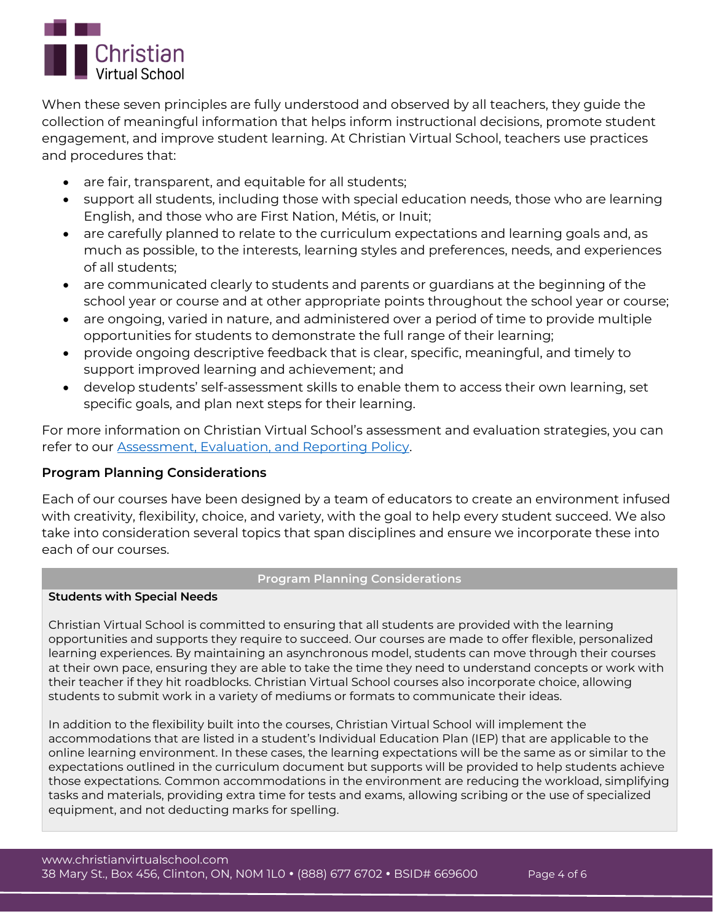

When these seven principles are fully understood and observed by all teachers, they guide the collection of meaningful information that helps inform instructional decisions, promote student engagement, and improve student learning. At Christian Virtual School, teachers use practices and procedures that:

- are fair, transparent, and equitable for all students;
- support all students, including those with special education needs, those who are learning English, and those who are First Nation, Métis, or Inuit;
- are carefully planned to relate to the curriculum expectations and learning goals and, as much as possible, to the interests, learning styles and preferences, needs, and experiences of all students;
- are communicated clearly to students and parents or guardians at the beginning of the school year or course and at other appropriate points throughout the school year or course;
- are ongoing, varied in nature, and administered over a period of time to provide multiple opportunities for students to demonstrate the full range of their learning;
- provide ongoing descriptive feedback that is clear, specific, meaningful, and timely to support improved learning and achievement; and
- develop students' self-assessment skills to enable them to access their own learning, set specific goals, and plan next steps for their learning.

For more information on Christian Virtual School's assessment and evaluation strategies, you can refer to our [Assessment, Evaluation, and Reporting Policy.](https://www.christianvirtualschool.com/wp-content/uploads/2020/07/Assessment-Evaluation-and-Reporting.pdf)

# **Program Planning Considerations**

Each of our courses have been designed by a team of educators to create an environment infused with creativity, flexibility, choice, and variety, with the goal to help every student succeed. We also take into consideration several topics that span disciplines and ensure we incorporate these into each of our courses.

## **Program Planning Considerations**

## **Students with Special Needs**

Christian Virtual School is committed to ensuring that all students are provided with the learning opportunities and supports they require to succeed. Our courses are made to offer flexible, personalized learning experiences. By maintaining an asynchronous model, students can move through their courses at their own pace, ensuring they are able to take the time they need to understand concepts or work with their teacher if they hit roadblocks. Christian Virtual School courses also incorporate choice, allowing students to submit work in a variety of mediums or formats to communicate their ideas.

In addition to the flexibility built into the courses, Christian Virtual School will implement the accommodations that are listed in a student's Individual Education Plan (IEP) that are applicable to the online learning environment. In these cases, the learning expectations will be the same as or similar to the expectations outlined in the curriculum document but supports will be provided to help students achieve those expectations. Common accommodations in the environment are reducing the workload, simplifying tasks and materials, providing extra time for tests and exams, allowing scribing or the use of specialized equipment, and not deducting marks for spelling.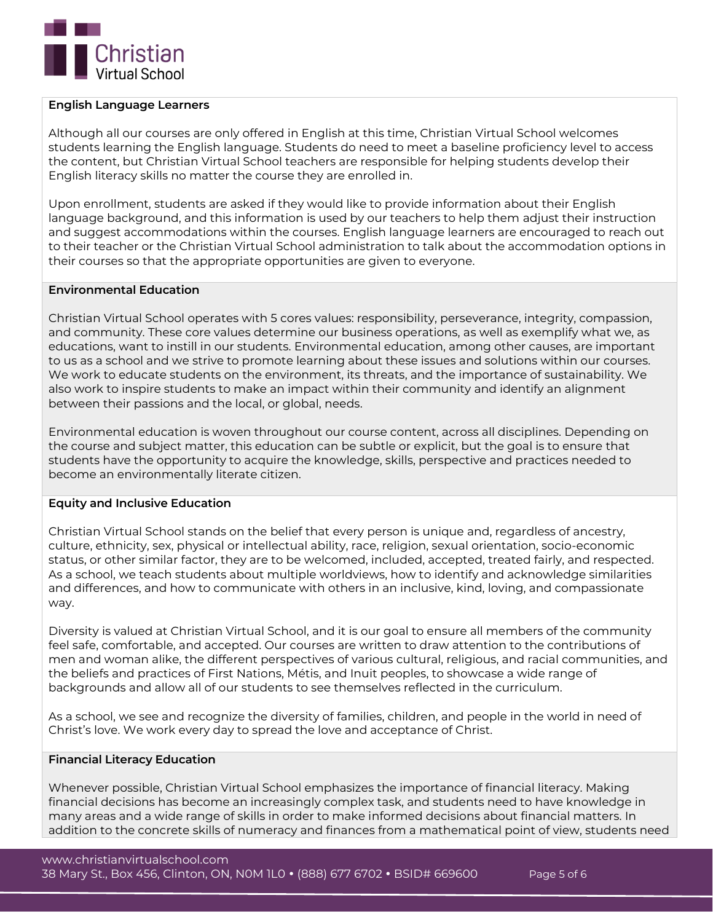

### **English Language Learners**

Although all our courses are only offered in English at this time, Christian Virtual School welcomes students learning the English language. Students do need to meet a baseline proficiency level to access the content, but Christian Virtual School teachers are responsible for helping students develop their English literacy skills no matter the course they are enrolled in.

Upon enrollment, students are asked if they would like to provide information about their English language background, and this information is used by our teachers to help them adjust their instruction and suggest accommodations within the courses. English language learners are encouraged to reach out to their teacher or the Christian Virtual School administration to talk about the accommodation options in their courses so that the appropriate opportunities are given to everyone.

### **Environmental Education**

Christian Virtual School operates with 5 cores values: responsibility, perseverance, integrity, compassion, and community. These core values determine our business operations, as well as exemplify what we, as educations, want to instill in our students. Environmental education, among other causes, are important to us as a school and we strive to promote learning about these issues and solutions within our courses. We work to educate students on the environment, its threats, and the importance of sustainability. We also work to inspire students to make an impact within their community and identify an alignment between their passions and the local, or global, needs.

Environmental education is woven throughout our course content, across all disciplines. Depending on the course and subject matter, this education can be subtle or explicit, but the goal is to ensure that students have the opportunity to acquire the knowledge, skills, perspective and practices needed to become an environmentally literate citizen.

### **Equity and Inclusive Education**

Christian Virtual School stands on the belief that every person is unique and, regardless of ancestry, culture, ethnicity, sex, physical or intellectual ability, race, religion, sexual orientation, socio-economic status, or other similar factor, they are to be welcomed, included, accepted, treated fairly, and respected. As a school, we teach students about multiple worldviews, how to identify and acknowledge similarities and differences, and how to communicate with others in an inclusive, kind, loving, and compassionate way.

Diversity is valued at Christian Virtual School, and it is our goal to ensure all members of the community feel safe, comfortable, and accepted. Our courses are written to draw attention to the contributions of men and woman alike, the different perspectives of various cultural, religious, and racial communities, and the beliefs and practices of First Nations, Métis, and Inuit peoples, to showcase a wide range of backgrounds and allow all of our students to see themselves reflected in the curriculum.

As a school, we see and recognize the diversity of families, children, and people in the world in need of Christ's love. We work every day to spread the love and acceptance of Christ.

### **Financial Literacy Education**

Whenever possible, Christian Virtual School emphasizes the importance of financial literacy. Making financial decisions has become an increasingly complex task, and students need to have knowledge in many areas and a wide range of skills in order to make informed decisions about financial matters. In addition to the concrete skills of numeracy and finances from a mathematical point of view, students need